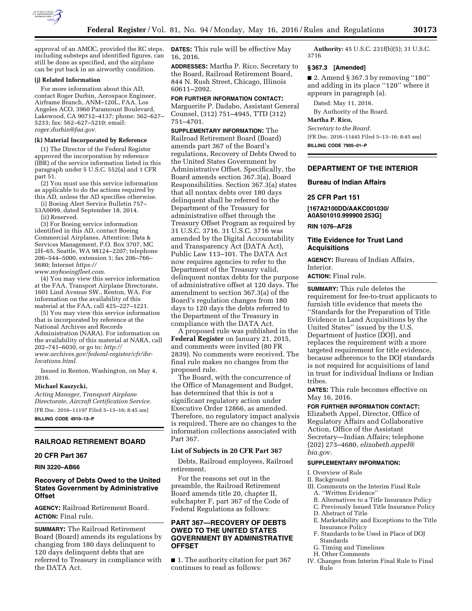

approval of an AMOC, provided the RC steps, including substeps and identified figures, can still be done as specified, and the airplane can be put back in an airworthy condition.

#### **(j) Related Information**

For more information about this AD, contact Roger Durbin, Aerospace Engineer, Airframe Branch, ANM–120L, FAA, Los Angeles ACO, 3960 Paramount Boulevard, Lakewood, CA 90712–4137; phone: 562–627– 5233; fax: 562–627–5210; email: *[roger.durbin@faa.gov.](mailto:roger.durbin@faa.gov)* 

#### **(k) Material Incorporated by Reference**

(1) The Director of the Federal Register approved the incorporation by reference (IBR) of the service information listed in this paragraph under 5 U.S.C. 552(a) and 1 CFR part 51.

(2) You must use this service information as applicable to do the actions required by this AD, unless the AD specifies otherwise.

(i) Boeing Alert Service Bulletin 757– 53A0099, dated September 18, 2014.

(ii) Reserved.

(3) For Boeing service information identified in this AD, contact Boeing Commercial Airplanes, Attention: Data & Services Management, P.O. Box 3707, MC 2H–65, Seattle, WA 98124–2207; telephone 206–544–5000, extension 1; fax 206–766– 5680; Internet *[https://](https://www.myboeingfleet.com)*

*[www.myboeingfleet.com.](https://www.myboeingfleet.com)* 

(4) You may view this service information at the FAA, Transport Airplane Directorate, 1601 Lind Avenue SW., Renton, WA. For information on the availability of this material at the FAA, call 425–227–1221.

(5) You may view this service information that is incorporated by reference at the National Archives and Records Administration (NARA). For information on the availability of this material at NARA, call 202–741–6030, or go to: *[http://](http://www.archives.gov/federal-register/cfr/ibr-locations.html) [www.archives.gov/federal-register/cfr/ibr](http://www.archives.gov/federal-register/cfr/ibr-locations.html)[locations.html.](http://www.archives.gov/federal-register/cfr/ibr-locations.html)* 

Issued in Renton, Washington, on May 4, 2016.

#### **Michael Kaszycki,**

*Acting Manager, Transport Airplane Directorate, Aircraft Certification Service.*  [FR Doc. 2016–11197 Filed 5–13–16; 8:45 am] **BILLING CODE 4910–13–P** 

### **RAILROAD RETIREMENT BOARD**

#### **20 CFR Part 367**

**RIN 3220–AB66** 

# **Recovery of Debts Owed to the United States Government by Administrative Offset**

**AGENCY:** Railroad Retirement Board. **ACTION:** Final rule.

**SUMMARY:** The Railroad Retirement Board (Board) amends its regulations by changing from 180 days delinquent to 120 days delinquent debts that are referred to Treasury in compliance with the DATA Act.

**DATES:** This rule will be effective May 16, 2016.

**ADDRESSES:** Martha P. Rico, Secretary to the Board, Railroad Retirement Board, 844 N. Rush Street, Chicago, Illinois 60611–2092.

# **FOR FURTHER INFORMATION CONTACT:**

Marguerite P. Dadabo, Assistant General Counsel, (312) 751–4945, TTD (312) 751–4701.

**SUPPLEMENTARY INFORMATION:** The Railroad Retirement Board (Board) amends part 367 of the Board's regulations, Recovery of Debts Owed to the United States Government by Administrative Offset. Specifically, the Board amends section 367.3(a), Board Responsibilities. Section 367.3(a) states that all nontax debts over 180 days delinquent shall be referred to the Department of the Treasury for administrative offset through the Treasury Offset Program as required by 31 U.S.C. 3716. 31 U.S.C. 3716 was amended by the Digital Accountability and Transparency Act (DATA Act), Public Law 113–101. The DATA Act now requires agencies to refer to the Department of the Treasury valid, delinquent nontax debts for the purpose of administrative offset at 120 days. The amendment to section 367.3(a) of the Board's regulation changes from 180 days to 120 days the debts referred to the Department of the Treasury in compliance with the DATA Act.

A proposed rule was published in the **Federal Register** on January 21, 2015, and comments were invited (80 FR 2839). No comments were received. The final rule makes no changes from the proposed rule.

The Board, with the concurrence of the Office of Management and Budget, has determined that this is not a significant regulatory action under Executive Order 12866, as amended. Therefore, no regulatory impact analysis is required. There are no changes to the information collections associated with Part 367.

### **List of Subjects in 20 CFR Part 367**

Debts, Railroad employees, Railroad retirement.

For the reasons set out in the preamble, the Railroad Retirement Board amends title 20, chapter II, subchapter F, part 367 of the Code of Federal Regulations as follows:

# **PART 367—RECOVERY OF DEBTS OWED TO THE UNITED STATES GOVERNMENT BY ADMINISTRATIVE OFFSET**

■ 1. The authority citation for part 367 continues to read as follows:

**Authority:** 45 U.S.C. 231f(b)(5); 31 U.S.C. 3716

#### **§ 367.3 [Amended]**

 $\blacksquare$  2. Amend § 367.3 by removing "180" and adding in its place ''120'' where it appears in paragraph (a).

Dated: May 11, 2016. By Authority of the Board.

# **Martha P. Rico,**

*Secretary to the Board.*  [FR Doc. 2016–11445 Filed 5–13–16; 8:45 am] **BILLING CODE 7905–01–P** 

# **DEPARTMENT OF THE INTERIOR**

### **Bureau of Indian Affairs**

#### **25 CFR Part 151**

**[167A2100DD/AAKC001030/ A0A501010.999900 253G]** 

**RIN 1076–AF28** 

**Interior** 

## **Title Evidence for Trust Land Acquisitions**

**AGENCY:** Bureau of Indian Affairs,

**ACTION:** Final rule.

**SUMMARY:** This rule deletes the requirement for fee-to-trust applicants to furnish title evidence that meets the ''Standards for the Preparation of Title Evidence in Land Acquisitions by the United States'' issued by the U.S. Department of Justice (DOJ), and replaces the requirement with a more targeted requirement for title evidence, because adherence to the DOJ standards is not required for acquisitions of land in trust for individual Indians or Indian tribes.

**DATES:** This rule becomes effective on May 16, 2016.

**FOR FURTHER INFORMATION CONTACT:**  Elizabeth Appel, Director, Office of Regulatory Affairs and Collaborative Action, Office of the Assistant Secretary—Indian Affairs; telephone (202) 273–4680, *[elizabeth.appel@](mailto:elizabeth.appel@bia.gov) [bia.gov.](mailto:elizabeth.appel@bia.gov)* 

### **SUPPLEMENTARY INFORMATION:**

I. Overview of Rule

II. Background

III. Comments on the Interim Final Rule A. ''Written Evidence''

- B. Alternatives to a Title Insurance Policy
- C. Previously Issued Title Insurance Policy
- D. Abstract of Title
- E. Marketability and Exceptions to the Title
- Insurance Policy F. Standards to be Used in Place of DOJ
- Standards G. Timing and Timelines
- H. Other Comments
- IV. Changes from Interim Final Rule to Final Rule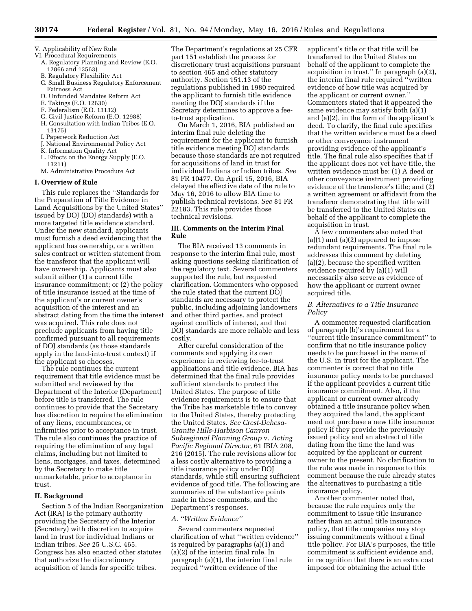- V. Applicability of New Rule
- VI. Procedural Requirements A. Regulatory Planning and Review (E.O. 12866 and 13563)
	- B. Regulatory Flexibility Act
	- C. Small Business Regulatory Enforcement Fairness Act
	- D. Unfunded Mandates Reform Act
	- E. Takings (E.O. 12630)
	- F. Federalism (E.O. 13132)
	- G. Civil Justice Reform (E.O. 12988) H. Consultation with Indian Tribes (E.O.
	- 13175)
	- I. Paperwork Reduction Act
	- J. National Environmental Policy Act
	- K. Information Quality Act
	- L. Effects on the Energy Supply (E.O. 13211)
	- M. Administrative Procedure Act

#### **I. Overview of Rule**

This rule replaces the ''Standards for the Preparation of Title Evidence in Land Acquisitions by the United States'' issued by DOJ (DOJ standards) with a more targeted title evidence standard. Under the new standard, applicants must furnish a deed evidencing that the applicant has ownership, or a written sales contract or written statement from the transferor that the applicant will have ownership. Applicants must also submit either (1) a current title insurance commitment; or (2) the policy of title insurance issued at the time of the applicant's or current owner's acquisition of the interest and an abstract dating from the time the interest was acquired. This rule does not preclude applicants from having title confirmed pursuant to all requirements of DOJ standards (as those standards apply in the land-into-trust context) if the applicant so chooses.

The rule continues the current requirement that title evidence must be submitted and reviewed by the Department of the Interior (Department) before title is transferred. The rule continues to provide that the Secretary has discretion to require the elimination of any liens, encumbrances, or infirmities prior to acceptance in trust. The rule also continues the practice of requiring the elimination of any legal claims, including but not limited to liens, mortgages, and taxes, determined by the Secretary to make title unmarketable, prior to acceptance in trust.

### **II. Background**

Section 5 of the Indian Reorganization Act (IRA) is the primary authority providing the Secretary of the Interior (Secretary) with discretion to acquire land in trust for individual Indians or Indian tribes. *See* 25 U.S.C. 465. Congress has also enacted other statutes that authorize the discretionary acquisition of lands for specific tribes.

The Department's regulations at 25 CFR part 151 establish the process for discretionary trust acquisitions pursuant to section 465 and other statutory authority. Section 151.13 of the regulations published in 1980 required the applicant to furnish title evidence meeting the DOJ standards if the Secretary determines to approve a feeto-trust application.

On March 1, 2016, BIA published an interim final rule deleting the requirement for the applicant to furnish title evidence meeting DOJ standards because those standards are not required for acquisitions of land in trust for individual Indians or Indian tribes. *See*  81 FR 10477. On April 15, 2016, BIA delayed the effective date of the rule to May 16, 2016 to allow BIA time to publish technical revisions. *See* 81 FR 22183. This rule provides those technical revisions.

# **III. Comments on the Interim Final Rule**

The BIA received 13 comments in response to the interim final rule, most asking questions seeking clarification of the regulatory text. Several commenters supported the rule, but requested clarification. Commenters who opposed the rule stated that the current DOJ standards are necessary to protect the public, including adjoining landowners and other third parties, and protect against conflicts of interest, and that DOJ standards are more reliable and less costly.

After careful consideration of the comments and applying its own experience in reviewing fee-to-trust applications and title evidence, BIA has determined that the final rule provides sufficient standards to protect the United States. The purpose of title evidence requirements is to ensure that the Tribe has marketable title to convey to the United States, thereby protecting the United States. *See Crest-Dehesa-Granite Hills-Harbison Canyon Subregional Planning Group* v. *Acting Pacific Regional Director,* 61 IBIA 208, 216 (2015). The rule revisions allow for a less costly alternative to providing a title insurance policy under DOJ standards, while still ensuring sufficient evidence of good title. The following are summaries of the substantive points made in these comments, and the Department's responses.

#### *A. ''Written Evidence''*

Several commenters requested clarification of what ''written evidence'' is required by paragraphs (a)(1) and (a)(2) of the interim final rule. In paragraph (a)(1), the interim final rule required ''written evidence of the

applicant's title or that title will be transferred to the United States on behalf of the applicant to complete the acquisition in trust.'' In paragraph (a)(2), the interim final rule required ''written evidence of how title was acquired by the applicant or current owner.'' Commenters stated that it appeared the same evidence may satisfy both (a)(1) and (a)(2), in the form of the applicant's deed. To clarify, the final rule specifies that the written evidence must be a deed or other conveyance instrument providing evidence of the applicant's title. The final rule also specifies that if the applicant does not yet have title, the written evidence must be: (1) A deed or other conveyance instrument providing evidence of the transferor's title; and (2) a written agreement or affidavit from the transferor demonstrating that title will be transferred to the United States on behalf of the applicant to complete the acquisition in trust.

A few commenters also noted that (a)(1) and (a)(2) appeared to impose redundant requirements. The final rule addresses this comment by deleting (a)(2), because the specified written evidence required by (a)(1) will necessarily also serve as evidence of how the applicant or current owner acquired title.

### *B. Alternatives to a Title Insurance Policy*

A commenter requested clarification of paragraph (b)'s requirement for a ''current title insurance commitment'' to confirm that no title insurance policy needs to be purchased in the name of the U.S. in trust for the applicant. The commenter is correct that no title insurance policy needs to be purchased if the applicant provides a current title insurance commitment. Also, if the applicant or current owner already obtained a title insurance policy when they acquired the land, the applicant need not purchase a new title insurance policy if they provide the previously issued policy and an abstract of title dating from the time the land was acquired by the applicant or current owner to the present. No clarification to the rule was made in response to this comment because the rule already states the alternatives to purchasing a title insurance policy.

Another commenter noted that, because the rule requires only the commitment to issue title insurance rather than an actual title insurance policy, that title companies may stop issuing commitments without a final title policy. For BIA's purposes, the title commitment is sufficient evidence and, in recognition that there is an extra cost imposed for obtaining the actual title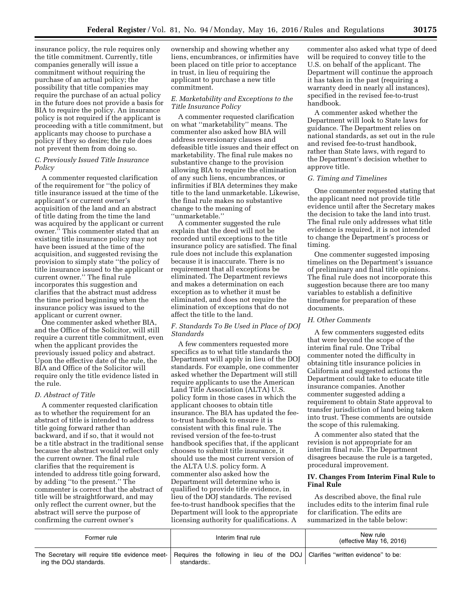insurance policy, the rule requires only the title commitment. Currently, title companies generally will issue a commitment without requiring the purchase of an actual policy; the possibility that title companies may require the purchase of an actual policy in the future does not provide a basis for BIA to require the policy. An insurance policy is not required if the applicant is proceeding with a title commitment, but applicants may choose to purchase a policy if they so desire; the rule does not prevent them from doing so.

# *C. Previously Issued Title Insurance Policy*

A commenter requested clarification of the requirement for ''the policy of title insurance issued at the time of the applicant's or current owner's acquisition of the land and an abstract of title dating from the time the land was acquired by the applicant or current owner.'' This commenter stated that an existing title insurance policy may not have been issued at the time of the acquisition, and suggested revising the provision to simply state ''the policy of title insurance issued to the applicant or current owner.'' The final rule incorporates this suggestion and clarifies that the abstract must address the time period beginning when the insurance policy was issued to the applicant or current owner.

One commenter asked whether BIA, and the Office of the Solicitor, will still require a current title commitment, even when the applicant provides the previously issued policy and abstract. Upon the effective date of the rule, the BIA and Office of the Solicitor will require only the title evidence listed in the rule.

# *D. Abstract of Title*

A commenter requested clarification as to whether the requirement for an abstract of title is intended to address title going forward rather than backward, and if so, that it would not be a title abstract in the traditional sense because the abstract would reflect only the current owner. The final rule clarifies that the requirement is intended to address title going forward, by adding ''to the present.'' The commenter is correct that the abstract of title will be straightforward, and may only reflect the current owner, but the abstract will serve the purpose of confirming the current owner's

ownership and showing whether any liens, encumbrances, or infirmities have been placed on title prior to acceptance in trust, in lieu of requiring the applicant to purchase a new title commitment.

## *E. Marketability and Exceptions to the Title Insurance Policy*

A commenter requested clarification on what ''marketability'' means. The commenter also asked how BIA will address reversionary clauses and defeasible title issues and their effect on marketability. The final rule makes no substantive change to the provision allowing BIA to require the elimination of any such liens, encumbrances, or infirmities if BIA determines they make title to the land unmarketable. Likewise, the final rule makes no substantive change to the meaning of ''unmarketable.''

A commenter suggested the rule explain that the deed will not be recorded until exceptions to the title insurance policy are satisfied. The final rule does not include this explanation because it is inaccurate. There is no requirement that all exceptions be eliminated. The Department reviews and makes a determination on each exception as to whether it must be eliminated, and does not require the elimination of exceptions that do not affect the title to the land.

# *F. Standards To Be Used in Place of DOJ Standards*

A few commenters requested more specifics as to what title standards the Department will apply in lieu of the DOJ standards. For example, one commenter asked whether the Department will still require applicants to use the American Land Title Association (ALTA) U.S. policy form in those cases in which the applicant chooses to obtain title insurance. The BIA has updated the feeto-trust handbook to ensure it is consistent with this final rule. The revised version of the fee-to-trust handbook specifies that, if the applicant chooses to submit title insurance, it should use the most current version of the ALTA U.S. policy form. A commenter also asked how the Department will determine who is qualified to provide title evidence, in lieu of the DOJ standards. The revised fee-to-trust handbook specifies that the Department will look to the appropriate licensing authority for qualifications. A

commenter also asked what type of deed will be required to convey title to the U.S. on behalf of the applicant. The Department will continue the approach it has taken in the past (requiring a warranty deed in nearly all instances), specified in the revised fee-to-trust handbook.

A commenter asked whether the Department will look to State laws for guidance. The Department relies on national standards, as set out in the rule and revised fee-to-trust handbook, rather than State laws, with regard to the Department's decision whether to approve title.

# *G. Timing and Timelines*

One commenter requested stating that the applicant need not provide title evidence until after the Secretary makes the decision to take the land into trust. The final rule only addresses what title evidence is required, it is not intended to change the Department's process or timing.

One commenter suggested imposing timelines on the Department's issuance of preliminary and final title opinions. The final rule does not incorporate this suggestion because there are too many variables to establish a definitive timeframe for preparation of these documents.

### *H. Other Comments*

A few commenters suggested edits that were beyond the scope of the interim final rule. One Tribal commenter noted the difficulty in obtaining title insurance policies in California and suggested actions the Department could take to educate title insurance companies. Another commenter suggested adding a requirement to obtain State approval to transfer jurisdiction of land being taken into trust. These comments are outside the scope of this rulemaking.

A commenter also stated that the revision is not appropriate for an interim final rule. The Department disagrees because the rule is a targeted, procedural improvement.

## **IV. Changes From Interim Final Rule to Final Rule**

As described above, the final rule includes edits to the interim final rule for clarification. The edits are summarized in the table below:

| Former rule                                                                                                                                             | Interim final rule | New rule<br>(effective May 16, 2016) |
|---------------------------------------------------------------------------------------------------------------------------------------------------------|--------------------|--------------------------------------|
| The Secretary will require title evidence meet- Requires the following in lieu of the DOJ Clarifies "written evidence" to be:<br>ing the DOJ standards. | standards:.        |                                      |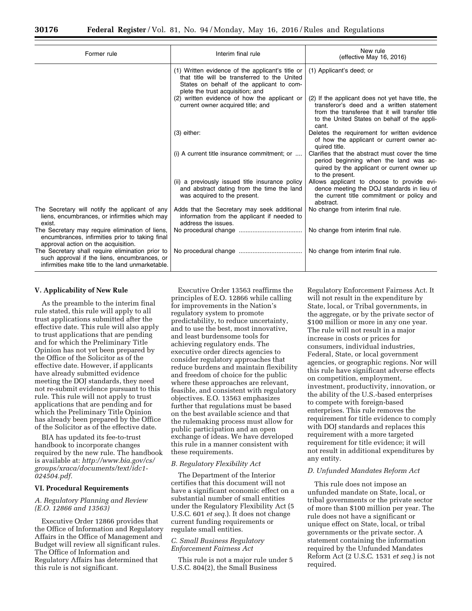| Former rule                                                                                                                                          | Interim final rule                                                                                                                                                                | New rule<br>(effective May 16, 2016)                                                                                                                                                                       |
|------------------------------------------------------------------------------------------------------------------------------------------------------|-----------------------------------------------------------------------------------------------------------------------------------------------------------------------------------|------------------------------------------------------------------------------------------------------------------------------------------------------------------------------------------------------------|
|                                                                                                                                                      | (1) Written evidence of the applicant's title or<br>that title will be transferred to the United<br>States on behalf of the applicant to com-<br>plete the trust acquisition; and | (1) Applicant's deed; or                                                                                                                                                                                   |
|                                                                                                                                                      | (2) written evidence of how the applicant or<br>current owner acquired title; and                                                                                                 | (2) If the applicant does not yet have title, the<br>transferor's deed and a written statement<br>from the transferee that it will transfer title<br>to the United States on behalf of the appli-<br>cant. |
|                                                                                                                                                      | $(3)$ either:                                                                                                                                                                     | Deletes the requirement for written evidence<br>of how the applicant or current owner ac-<br>quired title.                                                                                                 |
|                                                                                                                                                      | (i) A current title insurance commitment; or                                                                                                                                      | Clarifies that the abstract must cover the time<br>period beginning when the land was ac-<br>quired by the applicant or current owner up<br>to the present.                                                |
|                                                                                                                                                      | (ii) a previously issued title insurance policy<br>and abstract dating from the time the land<br>was acquired to the present.                                                     | Allows applicant to choose to provide evi-<br>dence meeting the DOJ standards in lieu of<br>the current title commitment or policy and<br>abstract.                                                        |
| The Secretary will notify the applicant of any<br>liens, encumbrances, or infirmities which may<br>exist.                                            | Adds that the Secretary may seek additional<br>information from the applicant if needed to<br>address the issues.                                                                 | No change from interim final rule.                                                                                                                                                                         |
| The Secretary may require elimination of liens,<br>encumbrances, infirmities prior to taking final<br>approval action on the acquisition.            |                                                                                                                                                                                   | No change from interim final rule.                                                                                                                                                                         |
| The Secretary shall require elimination prior to<br>such approval if the liens, encumbrances, or<br>infirmities make title to the land unmarketable. |                                                                                                                                                                                   | No change from interim final rule.                                                                                                                                                                         |

### **V. Applicability of New Rule**

As the preamble to the interim final rule stated, this rule will apply to all trust applications submitted after the effective date. This rule will also apply to trust applications that are pending and for which the Preliminary Title Opinion has not yet been prepared by the Office of the Solicitor as of the effective date. However, if applicants have already submitted evidence meeting the DOJ standards, they need not re-submit evidence pursuant to this rule. This rule will not apply to trust applications that are pending and for which the Preliminary Title Opinion has already been prepared by the Office of the Solicitor as of the effective date.

BIA has updated its fee-to-trust handbook to incorporate changes required by the new rule. The handbook is available at: *[http://www.bia.gov/cs/](http://www.bia.gov/cs/groups/xraca/documents/text/idc1-024504.pdf) [groups/xraca/documents/text/idc1-](http://www.bia.gov/cs/groups/xraca/documents/text/idc1-024504.pdf) [024504.pdf.](http://www.bia.gov/cs/groups/xraca/documents/text/idc1-024504.pdf)* 

## **VI. Procedural Requirements**

# *A. Regulatory Planning and Review (E.O. 12866 and 13563)*

Executive Order 12866 provides that the Office of Information and Regulatory Affairs in the Office of Management and Budget will review all significant rules. The Office of Information and Regulatory Affairs has determined that this rule is not significant.

Executive Order 13563 reaffirms the principles of E.O. 12866 while calling for improvements in the Nation's regulatory system to promote predictability, to reduce uncertainty, and to use the best, most innovative, and least burdensome tools for achieving regulatory ends. The executive order directs agencies to consider regulatory approaches that reduce burdens and maintain flexibility and freedom of choice for the public where these approaches are relevant, feasible, and consistent with regulatory objectives. E.O. 13563 emphasizes further that regulations must be based on the best available science and that the rulemaking process must allow for public participation and an open exchange of ideas. We have developed this rule in a manner consistent with these requirements.

#### *B. Regulatory Flexibility Act*

The Department of the Interior certifies that this document will not have a significant economic effect on a substantial number of small entities under the Regulatory Flexibility Act (5 U.S.C. 601 *et seq.*). It does not change current funding requirements or regulate small entities.

#### *C. Small Business Regulatory Enforcement Fairness Act*

This rule is not a major rule under 5 U.S.C. 804(2), the Small Business

Regulatory Enforcement Fairness Act. It will not result in the expenditure by State, local, or Tribal governments, in the aggregate, or by the private sector of \$100 million or more in any one year. The rule will not result in a major increase in costs or prices for consumers, individual industries, Federal, State, or local government agencies, or geographic regions. Nor will this rule have significant adverse effects on competition, employment, investment, productivity, innovation, or the ability of the U.S.-based enterprises to compete with foreign-based enterprises. This rule removes the requirement for title evidence to comply with DOJ standards and replaces this requirement with a more targeted requirement for title evidence; it will not result in additional expenditures by any entity.

# *D. Unfunded Mandates Reform Act*

This rule does not impose an unfunded mandate on State, local, or tribal governments or the private sector of more than \$100 million per year. The rule does not have a significant or unique effect on State, local, or tribal governments or the private sector. A statement containing the information required by the Unfunded Mandates Reform Act (2 U.S.C. 1531 *et seq.*) is not required.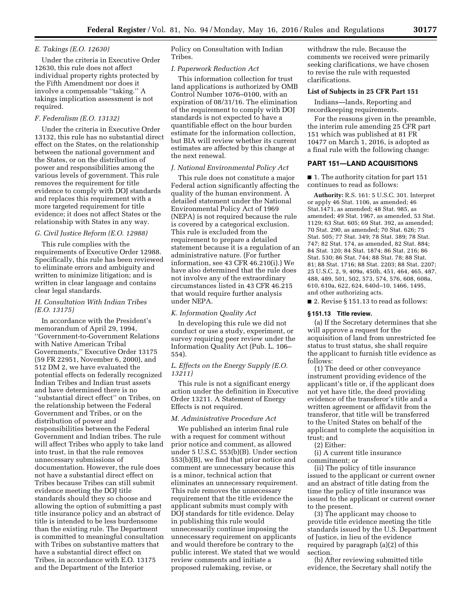# *E. Takings (E.O. 12630)*

Under the criteria in Executive Order 12630, this rule does not affect individual property rights protected by the Fifth Amendment nor does it involve a compensable ''taking.'' A takings implication assessment is not required.

# *F. Federalism (E.O. 13132)*

Under the criteria in Executive Order 13132, this rule has no substantial direct effect on the States, on the relationship between the national government and the States, or on the distribution of power and responsibilities among the various levels of government. This rule removes the requirement for title evidence to comply with DOJ standards and replaces this requirement with a more targeted requirement for title evidence; it does not affect States or the relationship with States in any way.

### *G. Civil Justice Reform (E.O. 12988)*

This rule complies with the requirements of Executive Order 12988. Specifically, this rule has been reviewed to eliminate errors and ambiguity and written to minimize litigation; and is written in clear language and contains clear legal standards.

# *H. Consultation With Indian Tribes (E.O. 13175)*

In accordance with the President's memorandum of April 29, 1994, ''Government-to-Government Relations with Native American Tribal Governments,'' Executive Order 13175 (59 FR 22951, November 6, 2000), and 512 DM 2, we have evaluated the potential effects on federally recognized Indian Tribes and Indian trust assets and have determined there is no ''substantial direct effect'' on Tribes, on the relationship between the Federal Government and Tribes, or on the distribution of power and responsibilities between the Federal Government and Indian tribes. The rule will affect Tribes who apply to take land into trust, in that the rule removes unnecessary submissions of documentation. However, the rule does not have a substantial direct effect on Tribes because Tribes can still submit evidence meeting the DOJ title standards should they so choose and allowing the option of submitting a past title insurance policy and an abstract of title is intended to be less burdensome than the existing rule. The Department is committed to meaningful consultation with Tribes on substantive matters that have a substantial direct effect on Tribes, in accordance with E.O. 13175 and the Department of the Interior

Policy on Consultation with Indian Tribes.

# *I. Paperwork Reduction Act*

This information collection for trust land applications is authorized by OMB Control Number 1076–0100, with an expiration of 08/31/16. The elimination of the requirement to comply with DOJ standards is not expected to have a quantifiable effect on the hour burden estimate for the information collection, but BIA will review whether its current estimates are affected by this change at the next renewal.

#### *J. National Environmental Policy Act*

This rule does not constitute a major Federal action significantly affecting the quality of the human environment. A detailed statement under the National Environmental Policy Act of 1969 (NEPA) is not required because the rule is covered by a categorical exclusion. This rule is excluded from the requirement to prepare a detailed statement because it is a regulation of an administrative nature. (For further information, see 43 CFR 46.210(i).) We have also determined that the rule does not involve any of the extraordinary circumstances listed in 43 CFR 46.215 that would require further analysis under NEPA.

## *K. Information Quality Act*

In developing this rule we did not conduct or use a study, experiment, or survey requiring peer review under the Information Quality Act (Pub. L. 106– 554).

### *L. Effects on the Energy Supply (E.O. 13211)*

This rule is not a significant energy action under the definition in Executive Order 13211. A Statement of Energy Effects is not required.

## *M. Administrative Procedure Act*

We published an interim final rule with a request for comment without prior notice and comment, as allowed under 5 U.S.C. 553(b)(B). Under section 553(b)(B), we find that prior notice and comment are unnecessary because this is a minor, technical action that eliminates an unnecessary requirement. This rule removes the unnecessary requirement that the title evidence the applicant submits must comply with DOJ standards for title evidence. Delay in publishing this rule would unnecessarily continue imposing the unnecessary requirement on applicants and would therefore be contrary to the public interest. We stated that we would review comments and initiate a proposed rulemaking, revise, or

withdraw the rule. Because the comments we received were primarily seeking clarifications, we have chosen to revise the rule with requested clarifications.

## **List of Subjects in 25 CFR Part 151**

Indians—lands, Reporting and recordkeeping requirements.

For the reasons given in the preamble, the interim rule amending 25 CFR part 151 which was published at 81 FR 10477 on March 1, 2016, is adopted as a final rule with the following change:

## **PART 151—LAND ACQUISITIONS**

■ 1. The authority citation for part 151 continues to read as follows:

**Authority:** R.S. 161: 5 U.S.C. 301. Interpret or apply 46 Stat. 1106, as amended; 46 Stat.1471, as amended; 48 Stat. 985, as amended; 49 Stat. 1967, as amended, 53 Stat. 1129; 63 Stat. 605; 69 Stat. 392, as amended; 70 Stat. 290, as amended; 70 Stat. 626; 75 Stat. 505; 77 Stat. 349; 78 Stat. 389; 78 Stat. 747; 82 Stat. 174, as amended, 82 Stat. 884; 84 Stat. 120; 84 Stat. 1874; 86 Stat. 216; 86 Stat. 530; 86 Stat. 744; 88 Stat. 78; 88 Stat. 81; 88 Stat. 1716; 88 Stat. 2203; 88 Stat. 2207; 25 U.S.C. 2, 9, 409a, 450h, 451, 464, 465, 487, 488, 489, 501, 502, 573, 574, 576, 608, 608a, 610, 610a, 622, 624, 640d–10, 1466, 1495, and other authorizing acts.

■ 2. Revise § 151.13 to read as follows:

## **§ 151.13 Title review.**

(a) If the Secretary determines that she will approve a request for the acquisition of land from unrestricted fee status to trust status, she shall require the applicant to furnish title evidence as follows:

(1) The deed or other conveyance instrument providing evidence of the applicant's title or, if the applicant does not yet have title, the deed providing evidence of the transferor's title and a written agreement or affidavit from the transferor, that title will be transferred to the United States on behalf of the applicant to complete the acquisition in trust; and

(2) Either:

(i) A current title insurance commitment; or

(ii) The policy of title insurance issued to the applicant or current owner and an abstract of title dating from the time the policy of title insurance was issued to the applicant or current owner to the present.

(3) The applicant may choose to provide title evidence meeting the title standards issued by the U.S. Department of Justice, in lieu of the evidence required by paragraph (a)(2) of this section.

(b) After reviewing submitted title evidence, the Secretary shall notify the